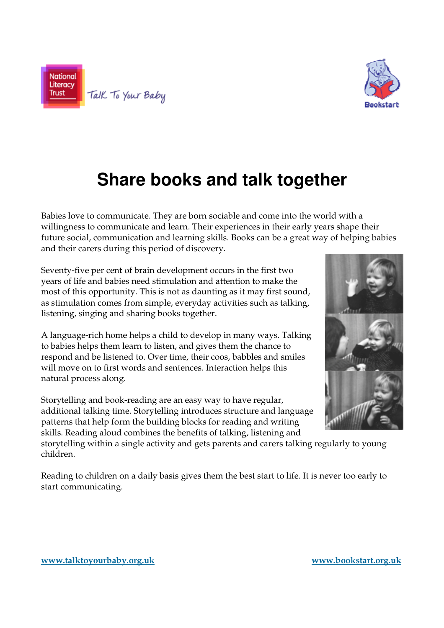



## **Share books and talk together**

Babies love to communicate. They are born sociable and come into the world with a willingness to communicate and learn. Their experiences in their early years shape their future social, communication and learning skills. Books can be a great way of helping babies and their carers during this period of discovery.

Seventy-five per cent of brain development occurs in the first two years of life and babies need stimulation and attention to make the most of this opportunity. This is not as daunting as it may first sound, as stimulation comes from simple, everyday activities such as talking, listening, singing and sharing books together.

A language-rich home helps a child to develop in many ways. Talking to babies helps them learn to listen, and gives them the chance to respond and be listened to. Over time, their coos, babbles and smiles will move on to first words and sentences. Interaction helps this natural process along.

Storytelling and book-reading are an easy way to have regular, additional talking time. Storytelling introduces structure and language patterns that help form the building blocks for reading and writing skills. Reading aloud combines the benefits of talking, listening and

storytelling within a single activity and gets parents and carers talking regularly to young children.

Reading to children on a daily basis gives them the best start to life. It is never too early to start communicating.

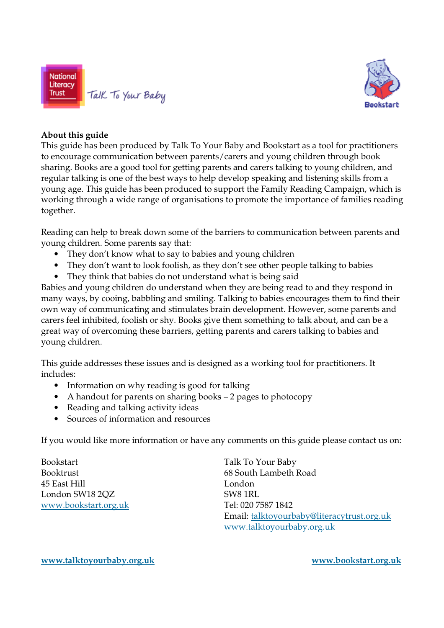



#### **About this guide**

This guide has been produced by Talk To Your Baby and Bookstart as a tool for practitioners to encourage communication between parents/carers and young children through book sharing. Books are a good tool for getting parents and carers talking to young children, and regular talking is one of the best ways to help develop speaking and listening skills from a young age. This guide has been produced to support the Family Reading Campaign, which is working through a wide range of organisations to promote the importance of families reading together.

Reading can help to break down some of the barriers to communication between parents and young children. Some parents say that:

- They don't know what to say to babies and young children
- They don't want to look foolish, as they don't see other people talking to babies
- They think that babies do not understand what is being said

Babies and young children do understand when they are being read to and they respond in many ways, by cooing, babbling and smiling. Talking to babies encourages them to find their own way of communicating and stimulates brain development. However, some parents and carers feel inhibited, foolish or shy. Books give them something to talk about, and can be a great way of overcoming these barriers, getting parents and carers talking to babies and young children.

This guide addresses these issues and is designed as a working tool for practitioners. It includes:

- Information on why reading is good for talking
- A handout for parents on sharing books 2 pages to photocopy
- Reading and talking activity ideas
- Sources of information and resources

If you would like more information or have any comments on this guide please contact us on:

Bookstart Talk To Your Baby 45 East Hill London London SW18 2OZ SW8 1RL www.bookstart.org.uk Tel: 020 7587 1842

Booktrust 68 South Lambeth Road Email: talktoyourbaby@literacytrust.org.uk www.talktoyourbaby.org.uk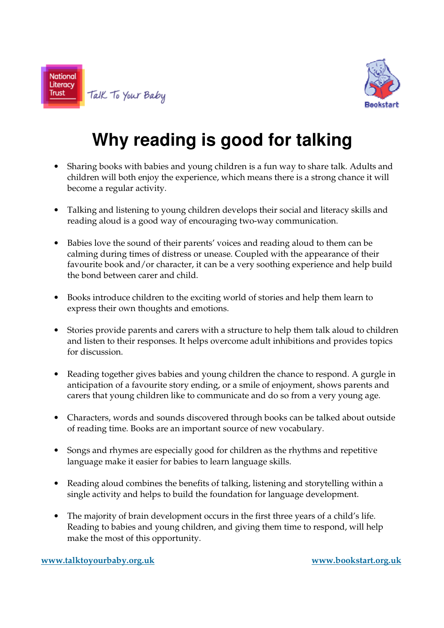



# **Why reading is good for talking**

- Sharing books with babies and young children is a fun way to share talk. Adults and children will both enjoy the experience, which means there is a strong chance it will become a regular activity.
- Talking and listening to young children develops their social and literacy skills and reading aloud is a good way of encouraging two-way communication.
- Babies love the sound of their parents' voices and reading aloud to them can be calming during times of distress or unease. Coupled with the appearance of their favourite book and/or character, it can be a very soothing experience and help build the bond between carer and child.
- Books introduce children to the exciting world of stories and help them learn to express their own thoughts and emotions.
- Stories provide parents and carers with a structure to help them talk aloud to children and listen to their responses. It helps overcome adult inhibitions and provides topics for discussion.
- Reading together gives babies and young children the chance to respond. A gurgle in anticipation of a favourite story ending, or a smile of enjoyment, shows parents and carers that young children like to communicate and do so from a very young age.
- Characters, words and sounds discovered through books can be talked about outside of reading time. Books are an important source of new vocabulary.
- Songs and rhymes are especially good for children as the rhythms and repetitive language make it easier for babies to learn language skills.
- Reading aloud combines the benefits of talking, listening and storytelling within a single activity and helps to build the foundation for language development.
- The majority of brain development occurs in the first three years of a child's life. Reading to babies and young children, and giving them time to respond, will help make the most of this opportunity.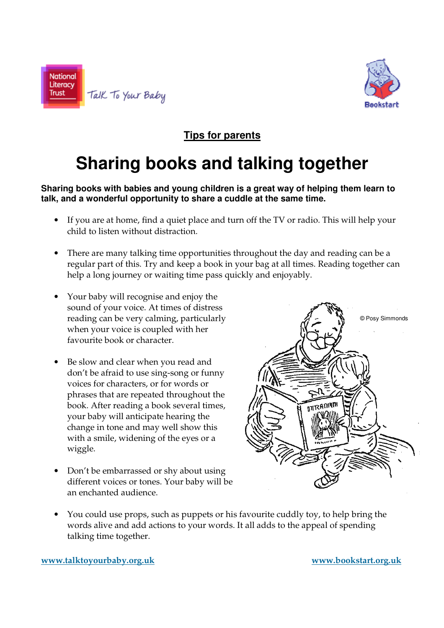



### **Tips for parents**

## **Sharing books and talking together**

#### **Sharing books with babies and young children is a great way of helping them learn to talk, and a wonderful opportunity to share a cuddle at the same time.**

- If you are at home, find a quiet place and turn off the TV or radio. This will help your child to listen without distraction.
- There are many talking time opportunities throughout the day and reading can be a regular part of this. Try and keep a book in your bag at all times. Reading together can help a long journey or waiting time pass quickly and enjoyably.
- Your baby will recognise and enjoy the sound of your voice. At times of distress reading can be very calming, particularly when your voice is coupled with her favourite book or character.
- Be slow and clear when you read and don't be afraid to use sing-song or funny voices for characters, or for words or phrases that are repeated throughout the book. After reading a book several times, your baby will anticipate hearing the change in tone and may well show this with a smile, widening of the eyes or a wiggle.
- Don't be embarrassed or shy about using different voices or tones. Your baby will be an enchanted audience.



• You could use props, such as puppets or his favourite cuddly toy, to help bring the words alive and add actions to your words. It all adds to the appeal of spending talking time together.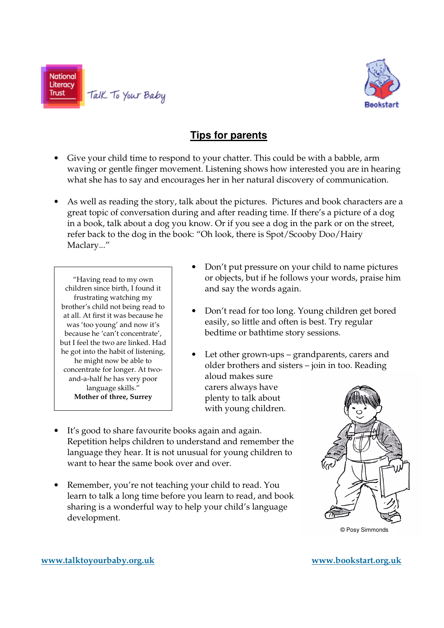



### **Tips for parents**

- Give your child time to respond to your chatter. This could be with a babble, arm waving or gentle finger movement. Listening shows how interested you are in hearing what she has to say and encourages her in her natural discovery of communication.
- As well as reading the story, talk about the pictures. Pictures and book characters are a great topic of conversation during and after reading time. If there's a picture of a dog in a book, talk about a dog you know. Or if you see a dog in the park or on the street, refer back to the dog in the book: "Oh look, there is Spot/Scooby Doo/Hairy Maclary..."

"Having read to my own children since birth, I found it frustrating watching my brother's child not being read to at all. At first it was because he was 'too young' and now it's because he 'can't concentrate', but I feel the two are linked. Had he got into the habit of listening, he might now be able to concentrate for longer. At twoand-a-half he has very poor language skills." **Mother of three, Surrey** 

- Don't put pressure on your child to name pictures or objects, but if he follows your words, praise him and say the words again.
- Don't read for too long. Young children get bored easily, so little and often is best. Try regular bedtime or bathtime story sessions.
- Let other grown-ups grandparents, carers and older brothers and sisters – join in too. Reading aloud makes sure carers always have plenty to talk about with young children.
- It's good to share favourite books again and again. Repetition helps children to understand and remember the language they hear. It is not unusual for young children to want to hear the same book over and over.
- Remember, you're not teaching your child to read. You learn to talk a long time before you learn to read, and book sharing is a wonderful way to help your child's language development.



© Posy Simmonds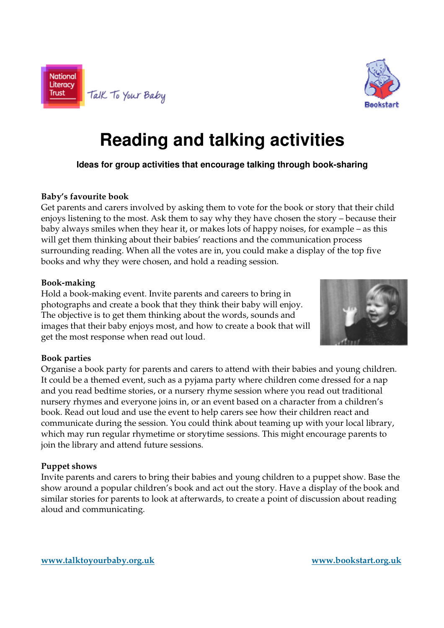



# **Reading and talking activities**

**Ideas for group activities that encourage talking through book-sharing** 

#### **Baby's favourite book**

Get parents and carers involved by asking them to vote for the book or story that their child enjoys listening to the most. Ask them to say why they have chosen the story – because their baby always smiles when they hear it, or makes lots of happy noises, for example – as this will get them thinking about their babies' reactions and the communication process surrounding reading. When all the votes are in, you could make a display of the top five books and why they were chosen, and hold a reading session.

#### **Book-making**

Hold a book-making event. Invite parents and careers to bring in photographs and create a book that they think their baby will enjoy. The objective is to get them thinking about the words, sounds and images that their baby enjoys most, and how to create a book that will get the most response when read out loud.



#### **Book parties**

Organise a book party for parents and carers to attend with their babies and young children. It could be a themed event, such as a pyjama party where children come dressed for a nap and you read bedtime stories, or a nursery rhyme session where you read out traditional nursery rhymes and everyone joins in, or an event based on a character from a children's book. Read out loud and use the event to help carers see how their children react and communicate during the session. You could think about teaming up with your local library, which may run regular rhymetime or storytime sessions. This might encourage parents to join the library and attend future sessions.

#### **Puppet shows**

Invite parents and carers to bring their babies and young children to a puppet show. Base the show around a popular children's book and act out the story. Have a display of the book and similar stories for parents to look at afterwards, to create a point of discussion about reading aloud and communicating.